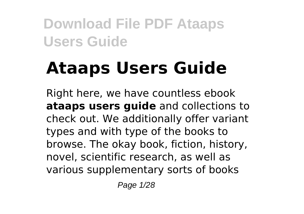# **Ataaps Users Guide**

Right here, we have countless ebook **ataaps users guide** and collections to check out. We additionally offer variant types and with type of the books to browse. The okay book, fiction, history, novel, scientific research, as well as various supplementary sorts of books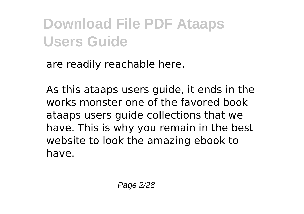are readily reachable here.

As this ataaps users guide, it ends in the works monster one of the favored book ataaps users guide collections that we have. This is why you remain in the best website to look the amazing ebook to have.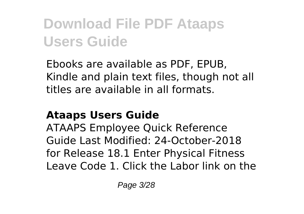Ebooks are available as PDF, EPUB, Kindle and plain text files, though not all titles are available in all formats.

#### **Ataaps Users Guide**

ATAAPS Employee Quick Reference Guide Last Modified: 24-October-2018 for Release 18.1 Enter Physical Fitness Leave Code 1. Click the Labor link on the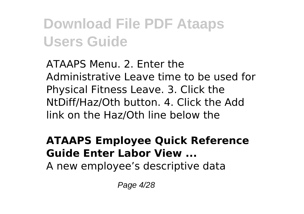ATAAPS Menu. 2. Enter the Administrative Leave time to be used for Physical Fitness Leave. 3. Click the NtDiff/Haz/Oth button. 4. Click the Add link on the Haz/Oth line below the

#### **ATAAPS Employee Quick Reference Guide Enter Labor View ...**

A new employee's descriptive data

Page 4/28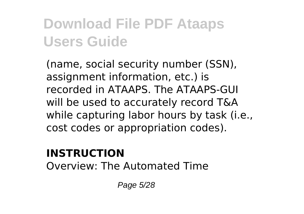(name, social security number (SSN), assignment information, etc.) is recorded in ATAAPS. The ATAAPS-GUI will be used to accurately record T&A while capturing labor hours by task (i.e., cost codes or appropriation codes).

#### **INSTRUCTION**

Overview: The Automated Time

Page 5/28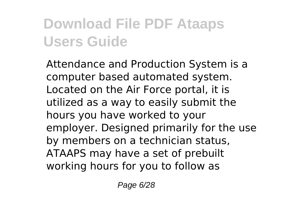Attendance and Production System is a computer based automated system. Located on the Air Force portal, it is utilized as a way to easily submit the hours you have worked to your employer. Designed primarily for the use by members on a technician status, ATAAPS may have a set of prebuilt working hours for you to follow as

Page 6/28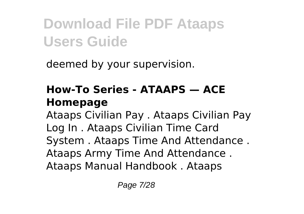deemed by your supervision.

#### **How-To Series - ATAAPS — ACE Homepage**

Ataaps Civilian Pay . Ataaps Civilian Pay Log In . Ataaps Civilian Time Card System . Ataaps Time And Attendance . Ataaps Army Time And Attendance . Ataaps Manual Handbook . Ataaps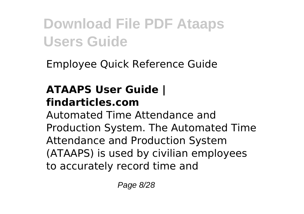Employee Quick Reference Guide

#### **ATAAPS User Guide | findarticles.com**

Automated Time Attendance and Production System. The Automated Time Attendance and Production System (ATAAPS) is used by civilian employees to accurately record time and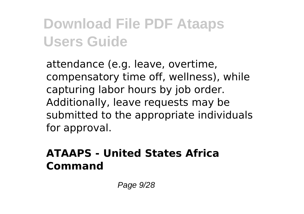attendance (e.g. leave, overtime, compensatory time off, wellness), while capturing labor hours by job order. Additionally, leave requests may be submitted to the appropriate individuals for approval.

#### **ATAAPS - United States Africa Command**

Page 9/28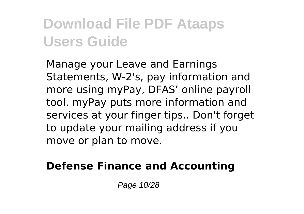Manage your Leave and Earnings Statements, W-2's, pay information and more using myPay, DFAS' online payroll tool. myPay puts more information and services at your finger tips.. Don't forget to update your mailing address if you move or plan to move.

#### **Defense Finance and Accounting**

Page 10/28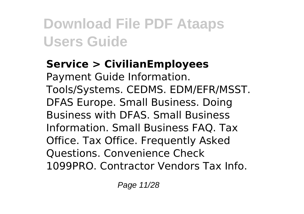#### **Service > CivilianEmployees**

Payment Guide Information. Tools/Systems. CEDMS. EDM/EFR/MSST. DFAS Europe. Small Business. Doing Business with DFAS. Small Business Information. Small Business FAQ. Tax Office. Tax Office. Frequently Asked Questions. Convenience Check 1099PRO. Contractor Vendors Tax Info.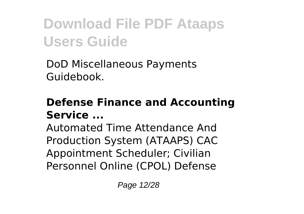DoD Miscellaneous Payments Guidebook.

#### **Defense Finance and Accounting Service ...**

Automated Time Attendance And Production System (ATAAPS) CAC Appointment Scheduler; Civilian Personnel Online (CPOL) Defense

Page 12/28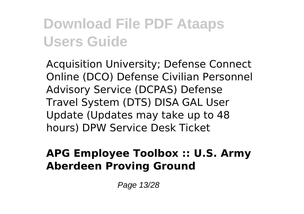Acquisition University; Defense Connect Online (DCO) Defense Civilian Personnel Advisory Service (DCPAS) Defense Travel System (DTS) DISA GAL User Update (Updates may take up to 48 hours) DPW Service Desk Ticket

#### **APG Employee Toolbox :: U.S. Army Aberdeen Proving Ground**

Page 13/28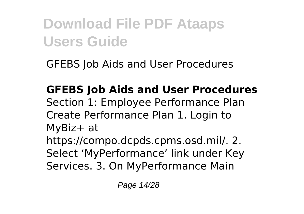GFEBS Job Aids and User Procedures

**GFEBS Job Aids and User Procedures** Section 1: Employee Performance Plan Create Performance Plan 1. Login to MyBiz+ at https://compo.dcpds.cpms.osd.mil/. 2. Select 'MyPerformance' link under Key Services. 3. On MyPerformance Main

Page 14/28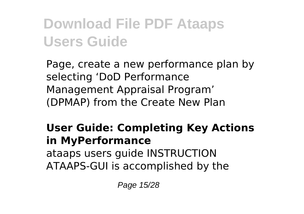Page, create a new performance plan by selecting 'DoD Performance Management Appraisal Program' (DPMAP) from the Create New Plan

#### **User Guide: Completing Key Actions in MyPerformance** ataaps users guide INSTRUCTION ATAAPS-GUI is accomplished by the

Page 15/28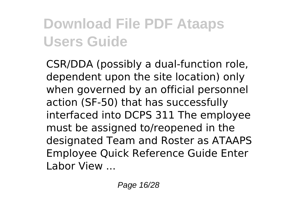CSR/DDA (possibly a dual-function role, dependent upon the site location) only when governed by an official personnel action (SF-50) that has successfully interfaced into DCPS 311 The employee must be assigned to/reopened in the designated Team and Roster as ATAAPS Employee Quick Reference Guide Enter Labor View ...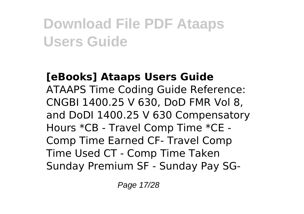#### **[eBooks] Ataaps Users Guide** ATAAPS Time Coding Guide Reference: CNGBI 1400.25 V 630, DoD FMR Vol 8, and DoDI 1400.25 V 630 Compensatory Hours \*CB - Travel Comp Time \*CE - Comp Time Earned CF- Travel Comp Time Used CT - Comp Time Taken Sunday Premium SF - Sunday Pay SG-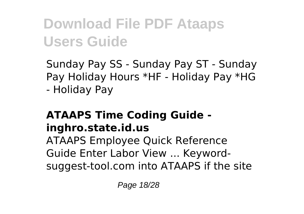Sunday Pay SS - Sunday Pay ST - Sunday Pay Holiday Hours \*HF - Holiday Pay \*HG - Holiday Pay

#### **ATAAPS Time Coding Guide inghro.state.id.us**

ATAAPS Employee Quick Reference Guide Enter Labor View ... Keywordsuggest-tool.com into ATAAPS if the site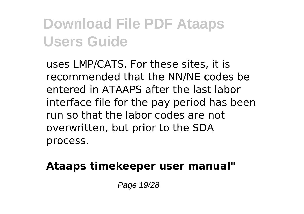uses LMP/CATS. For these sites, it is recommended that the NN/NE codes be entered in ATAAPS after the last labor interface file for the pay period has been run so that the labor codes are not overwritten, but prior to the SDA process.

#### **Ataaps timekeeper user manual"**

Page 19/28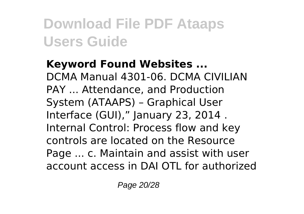**Keyword Found Websites ...** DCMA Manual 4301-06. DCMA CIVILIAN PAY ... Attendance, and Production System (ATAAPS) – Graphical User Interface (GUI)," January 23, 2014 . Internal Control: Process flow and key controls are located on the Resource Page ... c. Maintain and assist with user account access in DAI OTL for authorized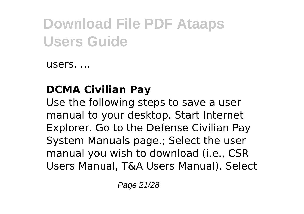users. ...

#### **DCMA Civilian Pay**

Use the following steps to save a user manual to your desktop. Start Internet Explorer. Go to the Defense Civilian Pay System Manuals page.; Select the user manual you wish to download (i.e., CSR Users Manual, T&A Users Manual). Select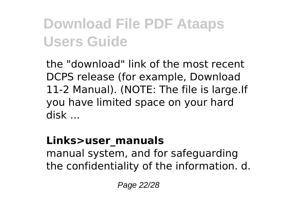the "download" link of the most recent DCPS release (for example, Download 11-2 Manual). (NOTE: The file is large.If you have limited space on your hard disk ...

#### **Links>user\_manuals**

manual system, and for safeguarding the confidentiality of the information. d.

Page 22/28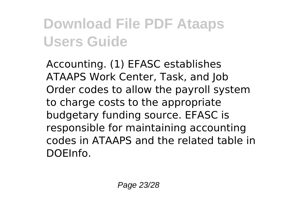Accounting. (1) EFASC establishes ATAAPS Work Center, Task, and Job Order codes to allow the payroll system to charge costs to the appropriate budgetary funding source. EFASC is responsible for maintaining accounting codes in ATAAPS and the related table in DOEInfo.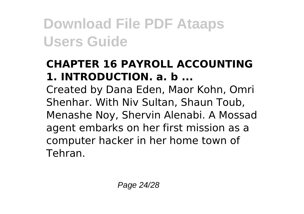#### **CHAPTER 16 PAYROLL ACCOUNTING 1. INTRODUCTION. a. b ...**

Created by Dana Eden, Maor Kohn, Omri Shenhar. With Niv Sultan, Shaun Toub, Menashe Noy, Shervin Alenabi. A Mossad agent embarks on her first mission as a computer hacker in her home town of Tehran.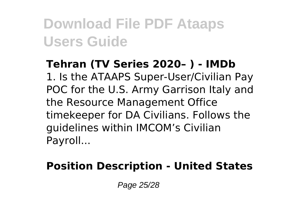**Tehran (TV Series 2020– ) - IMDb** 1. Is the ATAAPS Super-User/Civilian Pay POC for the U.S. Army Garrison Italy and the Resource Management Office timekeeper for DA Civilians. Follows the guidelines within IMCOM's Civilian Payroll...

#### **Position Description - United States**

Page 25/28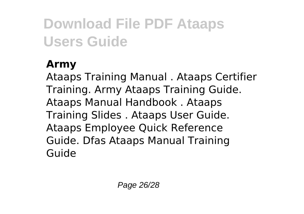#### **Army**

Ataaps Training Manual . Ataaps Certifier Training. Army Ataaps Training Guide. Ataaps Manual Handbook . Ataaps Training Slides . Ataaps User Guide. Ataaps Employee Quick Reference Guide. Dfas Ataaps Manual Training Guide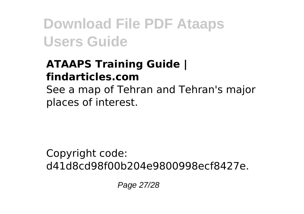#### **ATAAPS Training Guide | findarticles.com**

See a map of Tehran and Tehran's major places of interest.

Copyright code: d41d8cd98f00b204e9800998ecf8427e.

Page 27/28